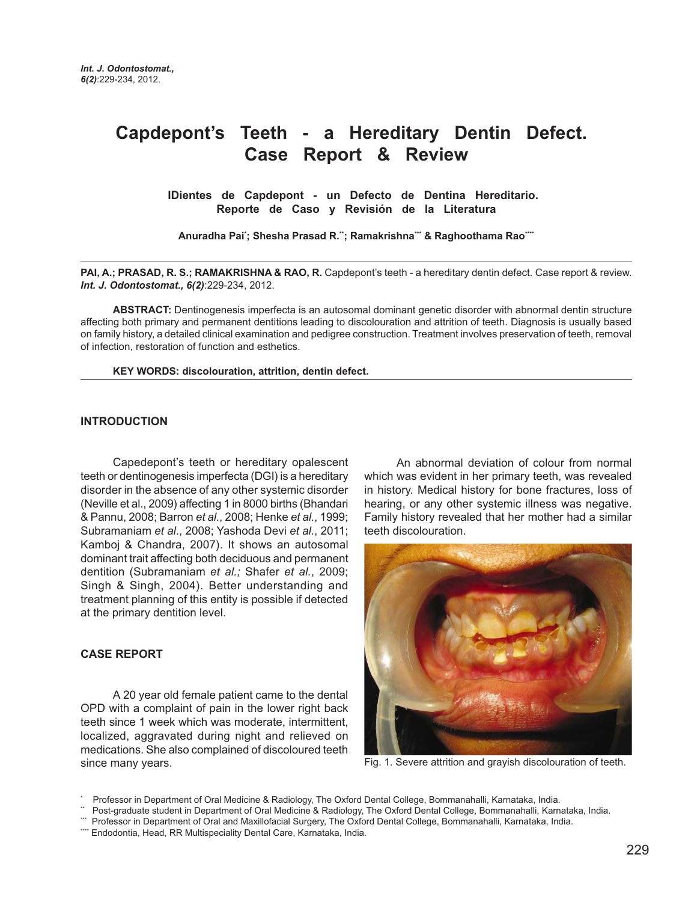# **Capdepont's Teeth - a Hereditary Dentin Defect. Case Report & Review**

**IDientes de Capdepont - un Defecto de Dentina Hereditario. Reporte de Caso y Revisión de la Literatura**

Anuradha Pai<sup>•</sup>; Shesha Prasad R.<sup>••</sup>; Ramakrishna<sup>•</sup>\*\* & Raghoothama Rao<sup>•••</sup>

**PAI, A.; PRASAD, R. S.; RAMAKRISHNA & RAO, R.** Capdepont's teeth - a hereditary dentin defect. Case report & review. *Int. J. Odontostomat., 6(2)*:229-234, 2012.

**ABSTRACT:** Dentinogenesis imperfecta is an autosomal dominant genetic disorder with abnormal dentin structure affecting both primary and permanent dentitions leading to discolouration and attrition of teeth. Diagnosis is usually based on family history, a detailed clinical examination and pedigree construction. Treatment involves preservation of teeth, removal of infection, restoration of function and esthetics.

**KEY WORDS: discolouration, attrition, dentin defect.**

#### **INTRODUCTION**

Capedepont's teeth or hereditary opalescent teeth or dentinogenesis imperfecta (DGI) is a hereditary disorder in the absence of any other systemic disorder (Neville et al., 2009) affecting 1 in 8000 births (Bhandari & Pannu, 2008; Barron et al., 2008; Henke et al., 1999; Subramaniam et al., 2008; Yashoda Devi et al., 2011; Kamboj & Chandra, 2007). It shows an autosomal dominant trait affecting both deciduous and permanent dentition (Subramaniam et al.; Shafer et al., 2009; Singh & Singh, 2004). Better understanding and treatment planning of this entity is possible if detected at the primary dentition level.

## **CASE REPORT**

A 20 year old female patient came to the dental OPD with a complaint of pain in the lower right back teeth since 1 week which was moderate, intermittent, localized, aggravated during night and relieved on medications. She also complained of discoloured teeth since many years.

An abnormal deviation of colour from normal which was evident in her primary teeth, was revealed in history. Medical history for bone fractures, loss of hearing, or any other systemic illness was negative. Family history revealed that her mother had a similar teeth discolouration.



Fig. 1. Severe attrition and grayish discolouration of teeth.

<sup>\*</sup> Professor in Department of Oral Medicine & Radiology, The Oxford Dental College, Bommanahalli, Karnataka, India.

<sup>\*\*</sup> Post-graduate student in Department of Oral Medicine & Radiology, The Oxford Dental College, Bommanahalli, Karnataka, India.

<sup>\*\*\*</sup> Professor in Department of Oral and Maxillofacial Surgery, The Oxford Dental College, Bommanahalli, Karnataka, India.

<sup>\*\*\*\*</sup> Endodontia, Head, RR Multispeciality Dental Care, Karnataka, India.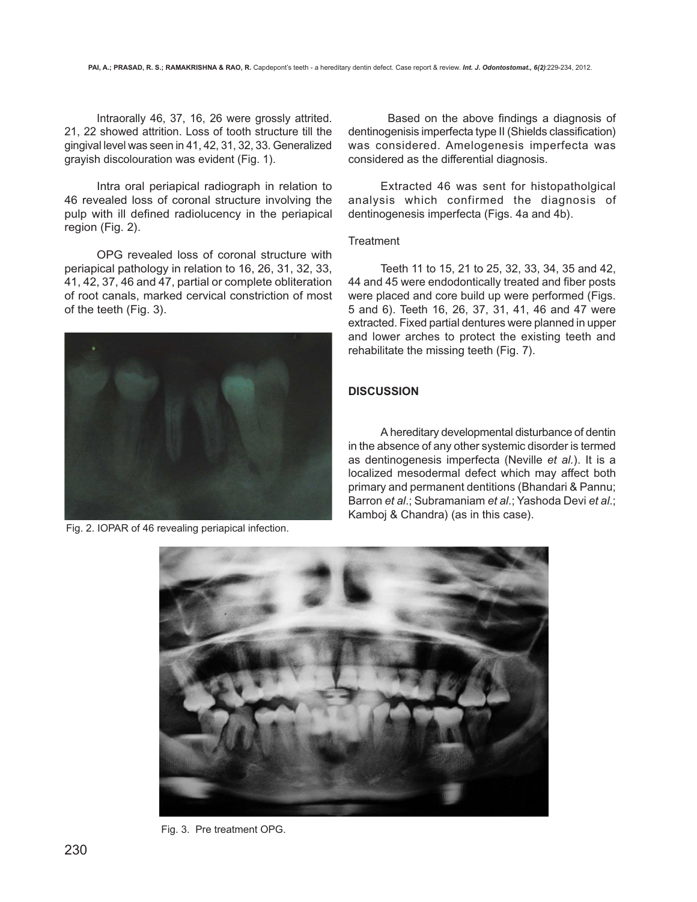Intraorally 46, 37, 16, 26 were grossly attrited. 21, 22 showed attrition. Loss of tooth structure till the gingival level was seen in 41, 42, 31, 32, 33. Generalized grayish discolouration was evident (Fig. 1).

Intra oral periapical radiograph in relation to 46 revealed loss of coronal structure involving the pulp with ill defined radiolucency in the periapical region (Fig. 2).

OPG revealed loss of coronal structure with periapical pathology in relation to 16, 26, 31, 32, 33, 41, 42, 37, 46 and 47, partial or complete obliteration of root canals, marked cervical constriction of most of the teeth (Fig. 3).



Fig. 2. IOPAR of 46 revealing periapical infection.

 Based on the above findings a diagnosis of dentinogenisis imperfecta type II (Shields classification) was considered. Amelogenesis imperfecta was considered as the differential diagnosis.

 Extracted 46 was sent for histopatholgical analysis which confirmed the diagnosis of dentinogenesis imperfecta (Figs. 4a and 4b).

#### **Treatment**

Teeth 11 to 15, 21 to 25, 32, 33, 34, 35 and 42, 44 and 45 were endodontically treated and fiber posts were placed and core build up were performed (Figs. 5 and 6). Teeth 16, 26, 37, 31, 41, 46 and 47 were extracted. Fixed partial dentures were planned in upper and lower arches to protect the existing teeth and rehabilitate the missing teeth (Fig. 7).

### **DISCUSSION**

A hereditary developmental disturbance of dentin in the absence of any other systemic disorder is termed as dentinogenesis imperfecta (Neville et al.). It is a localized mesodermal defect which may affect both primary and permanent dentitions (Bhandari & Pannu; Barron et al.; Subramaniam et al.; Yashoda Devi et al.; Kamboj & Chandra) (as in this case).



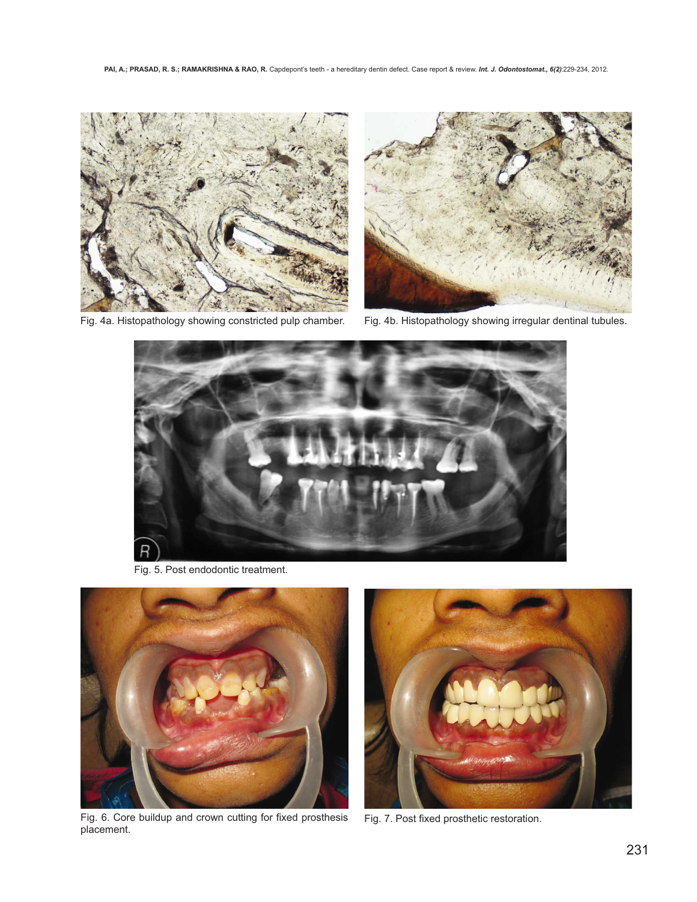**PAI, A.; PRASAD, R. S.; RAMAKRISHNA & RAO, R.** Capdepont's teeth - a hereditary dentin defect. Case report & review. *Int. J. Odontostomat., 6(2)*:229-234, 2012.





Fig. 4a. Histopathology showing constricted pulp chamber. Fig. 4b. Histopathology showing irregular dentinal tubules.



Fig. 5. Post endodontic treatment.



Fig. 6. Core buildup and crown cutting for fixed prosthesis placement.



Fig. 7. Post fixed prosthetic restoration.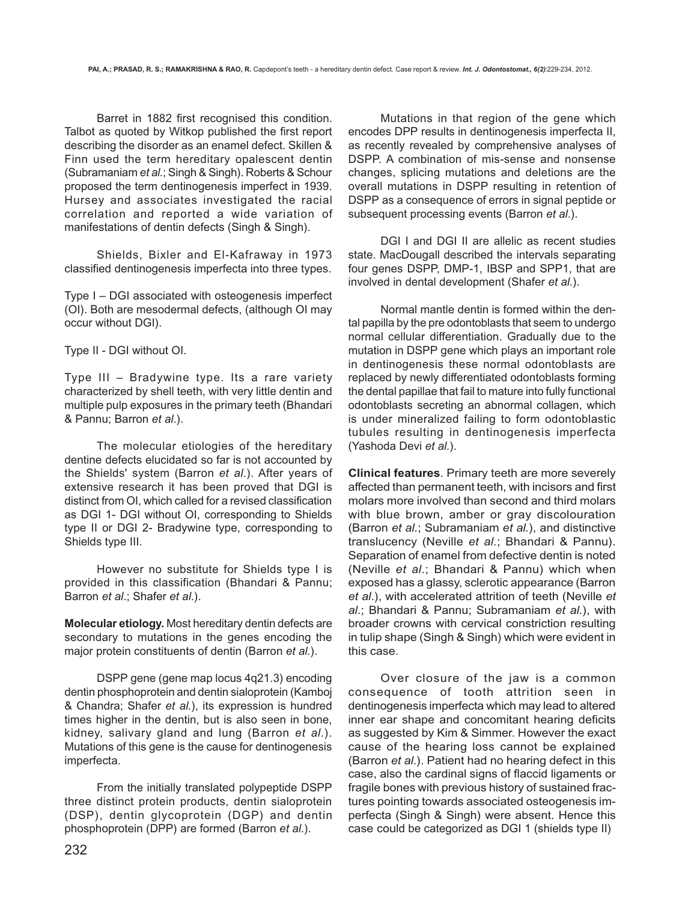Barret in 1882 first recognised this condition. Talbot as quoted by Witkop published the first report describing the disorder as an enamel defect. Skillen & Finn used the term hereditary opalescent dentin (Subramaniam et al.; Singh & Singh). Roberts & Schour proposed the term dentinogenesis imperfect in 1939. Hursey and associates investigated the racial correlation and reported a wide variation of manifestations of dentin defects (Singh & Singh).

Shields, Bixler and El-Kafraway in 1973 classified dentinogenesis imperfecta into three types.

Type I – DGI associated with osteogenesis imperfect (OI). Both are mesodermal defects, (although OI may occur without DGI).

Type II - DGI without OI.

Type III – Bradywine type. Its a rare variety characterized by shell teeth, with very little dentin and multiple pulp exposures in the primary teeth (Bhandari & Pannu; Barron et al.).

The molecular etiologies of the hereditary dentine defects elucidated so far is not accounted by the Shields' system (Barron et al.). After years of extensive research it has been proved that DGI is distinct from OI, which called for a revised classification as DGI 1- DGI without OI, corresponding to Shields type II or DGI 2- Bradywine type, corresponding to Shields type III.

However no substitute for Shields type I is provided in this classification (Bhandari & Pannu; Barron et al.; Shafer et al.).

**Molecular etiology.** Most hereditary dentin defects are secondary to mutations in the genes encoding the major protein constituents of dentin (Barron et al.).

DSPP gene (gene map locus 4q21.3) encoding dentin phosphoprotein and dentin sialoprotein (Kamboj & Chandra; Shafer et al.), its expression is hundred times higher in the dentin, but is also seen in bone, kidney, salivary gland and lung (Barron et al.). Mutations of this gene is the cause for dentinogenesis imperfecta.

From the initially translated polypeptide DSPP three distinct protein products, dentin sialoprotein (DSP), dentin glycoprotein (DGP) and dentin phosphoprotein (DPP) are formed (Barron et al.).

 Mutations in that region of the gene which encodes DPP results in dentinogenesis imperfecta II, as recently revealed by comprehensive analyses of DSPP. A combination of mis-sense and nonsense changes, splicing mutations and deletions are the overall mutations in DSPP resulting in retention of DSPP as a consequence of errors in signal peptide or subsequent processing events (Barron et al.).

DGI I and DGI II are allelic as recent studies state. MacDougall described the intervals separating four genes DSPP, DMP-1, IBSP and SPP1, that are involved in dental development (Shafer et al.).

Normal mantle dentin is formed within the dental papilla by the pre odontoblasts that seem to undergo normal cellular differentiation. Gradually due to the mutation in DSPP gene which plays an important role in dentinogenesis these normal odontoblasts are replaced by newly differentiated odontoblasts forming the dental papillae that fail to mature into fully functional odontoblasts secreting an abnormal collagen, which is under mineralized failing to form odontoblastic tubules resulting in dentinogenesis imperfecta (Yashoda Devi et al.).

**Clinical features**. Primary teeth are more severely affected than permanent teeth, with incisors and first molars more involved than second and third molars with blue brown, amber or gray discolouration (Barron et al.; Subramaniam et al.), and distinctive translucency (Neville et al.; Bhandari & Pannu). Separation of enamel from defective dentin is noted (Neville et al.; Bhandari & Pannu) which when exposed has a glassy, sclerotic appearance (Barron et al.), with accelerated attrition of teeth (Neville et al.; Bhandari & Pannu; Subramaniam et al.), with broader crowns with cervical constriction resulting in tulip shape (Singh & Singh) which were evident in this case.

Over closure of the jaw is a common consequence of tooth attrition seen in dentinogenesis imperfecta which may lead to altered inner ear shape and concomitant hearing deficits as suggested by Kim & Simmer. However the exact cause of the hearing loss cannot be explained (Barron et al.). Patient had no hearing defect in this case, also the cardinal signs of flaccid ligaments or fragile bones with previous history of sustained fractures pointing towards associated osteogenesis imperfecta (Singh & Singh) were absent. Hence this case could be categorized as DGI 1 (shields type II)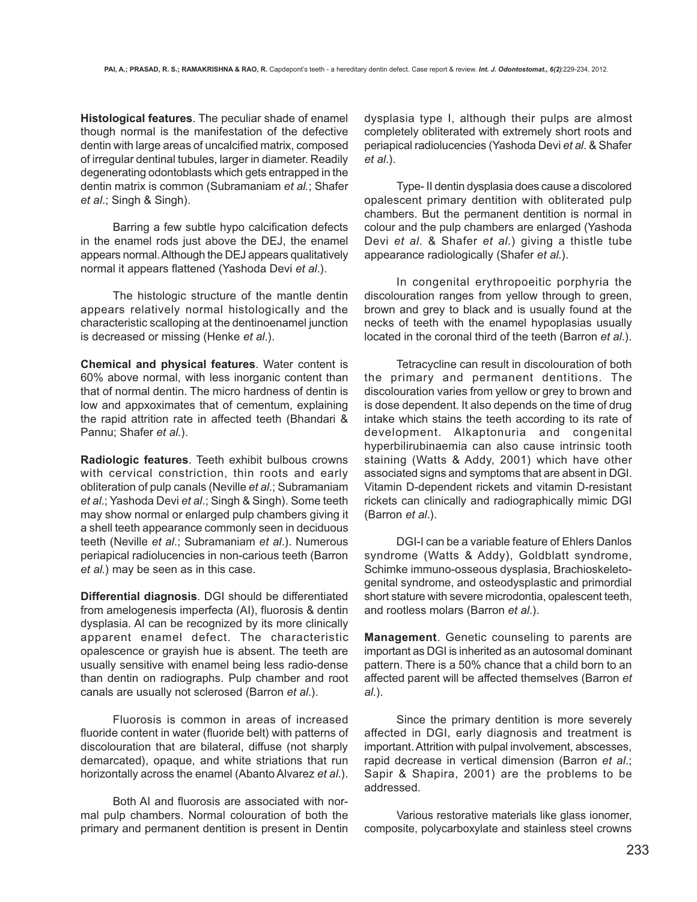**Histological features**. The peculiar shade of enamel though normal is the manifestation of the defective dentin with large areas of uncalcified matrix, composed of irregular dentinal tubules, larger in diameter. Readily degenerating odontoblasts which gets entrapped in the dentin matrix is common (Subramaniam et al.; Shafer et al.; Singh & Singh).

Barring a few subtle hypo calcification defects in the enamel rods just above the DEJ, the enamel appears normal. Although the DEJ appears qualitatively normal it appears flattened (Yashoda Devi et al.).

The histologic structure of the mantle dentin appears relatively normal histologically and the characteristic scalloping at the dentinoenamel junction is decreased or missing (Henke et al.).

**Chemical and physical features**. Water content is 60% above normal, with less inorganic content than that of normal dentin. The micro hardness of dentin is low and appxoximates that of cementum, explaining the rapid attrition rate in affected teeth (Bhandari & Pannu; Shafer et al.).

**Radiologic features**. Teeth exhibit bulbous crowns with cervical constriction, thin roots and early obliteration of pulp canals (Neville et al.; Subramaniam et al.; Yashoda Devi et al.; Singh & Singh). Some teeth may show normal or enlarged pulp chambers giving it a shell teeth appearance commonly seen in deciduous teeth (Neville et al.; Subramaniam et al.). Numerous periapical radiolucencies in non-carious teeth (Barron et al.) may be seen as in this case.

**Differential diagnosis**. DGI should be differentiated from amelogenesis imperfecta (AI), fluorosis & dentin dysplasia. AI can be recognized by its more clinically apparent enamel defect. The characteristic opalescence or grayish hue is absent. The teeth are usually sensitive with enamel being less radio-dense than dentin on radiographs. Pulp chamber and root canals are usually not sclerosed (Barron et al.).

Fluorosis is common in areas of increased fluoride content in water (fluoride belt) with patterns of discolouration that are bilateral, diffuse (not sharply demarcated), opaque, and white striations that run horizontally across the enamel (Abanto Alvarez et al.).

Both AI and fluorosis are associated with normal pulp chambers. Normal colouration of both the primary and permanent dentition is present in Dentin dysplasia type I, although their pulps are almost completely obliterated with extremely short roots and periapical radiolucencies (Yashoda Devi et al. & Shafer et al.).

Type- II dentin dysplasia does cause a discolored opalescent primary dentition with obliterated pulp chambers. But the permanent dentition is normal in colour and the pulp chambers are enlarged (Yashoda Devi et al. & Shafer et al.) giving a thistle tube appearance radiologically (Shafer et al.).

In congenital erythropoeitic porphyria the discolouration ranges from yellow through to green, brown and grey to black and is usually found at the necks of teeth with the enamel hypoplasias usually located in the coronal third of the teeth (Barron et al.).

Tetracycline can result in discolouration of both the primary and permanent dentitions. The discolouration varies from yellow or grey to brown and is dose dependent. It also depends on the time of drug intake which stains the teeth according to its rate of development. Alkaptonuria and congenital hyperbilirubinaemia can also cause intrinsic tooth staining (Watts & Addy, 2001) which have other associated signs and symptoms that are absent in DGI. Vitamin D-dependent rickets and vitamin D-resistant rickets can clinically and radiographically mimic DGI (Barron et al.).

DGI-I can be a variable feature of Ehlers Danlos syndrome (Watts & Addy), Goldblatt syndrome, Schimke immuno-osseous dysplasia, Brachioskeletogenital syndrome, and osteodysplastic and primordial short stature with severe microdontia, opalescent teeth, and rootless molars (Barron et al.).

**Management**. Genetic counseling to parents are important as DGI is inherited as an autosomal dominant pattern. There is a 50% chance that a child born to an affected parent will be affected themselves (Barron et al.).

Since the primary dentition is more severely affected in DGI, early diagnosis and treatment is important. Attrition with pulpal involvement, abscesses, rapid decrease in vertical dimension (Barron et al.; Sapir & Shapira, 2001) are the problems to be addressed.

Various restorative materials like glass ionomer, composite, polycarboxylate and stainless steel crowns